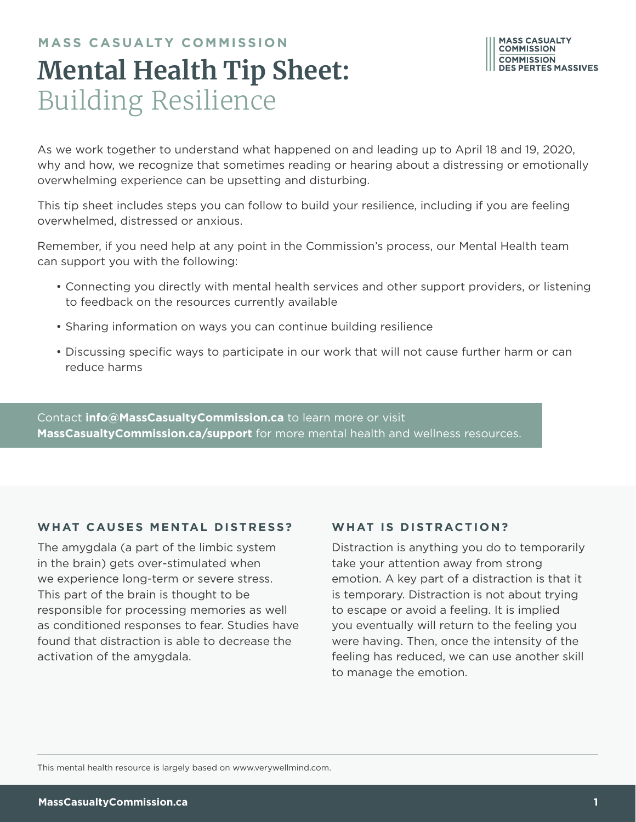### **MASS CASUALTY COMMISSION Mental Health Tip Sheet:**  Building Resilience

As we work together to understand what happened on and leading up to April 18 and 19, 2020, why and how, we recognize that sometimes reading or hearing about a distressing or emotionally overwhelming experience can be upsetting and disturbing.

This tip sheet includes steps you can follow to build your resilience, including if you are feeling overwhelmed, distressed or anxious.

Remember, if you need help at any point in the Commission's process, our Mental Health team can support you with the following:

- Connecting you directly with mental health services and other support providers, or listening to feedback on the resources currently available
- Sharing information on ways you can continue building resilience
- Discussing specific ways to participate in our work that will not cause further harm or can reduce harms

Contact **info@MassCasualtyCommission.ca** to learn more or visit **MassCasualtyCommission.ca/support** for more mental health and wellness resources.

#### WHAT CAUSES MENTAL DISTRESS?

The amygdala (a part of the limbic system in the brain) gets over-stimulated when we experience long-term or severe stress. This part of the brain is thought to be responsible for processing memories as well as conditioned responses to fear. Studies have found that distraction is able to decrease the activation of the amygdala.

#### WHAT IS DISTRACTION?

Distraction is anything you do to temporarily take your attention away from strong emotion. A key part of a distraction is that it is temporary. Distraction is not about trying to escape or avoid a feeling. It is implied you eventually will return to the feeling you were having. Then, once the intensity of the feeling has reduced, we can use another skill to manage the emotion.

This mental health resource is largely based on www.verywellmind.com.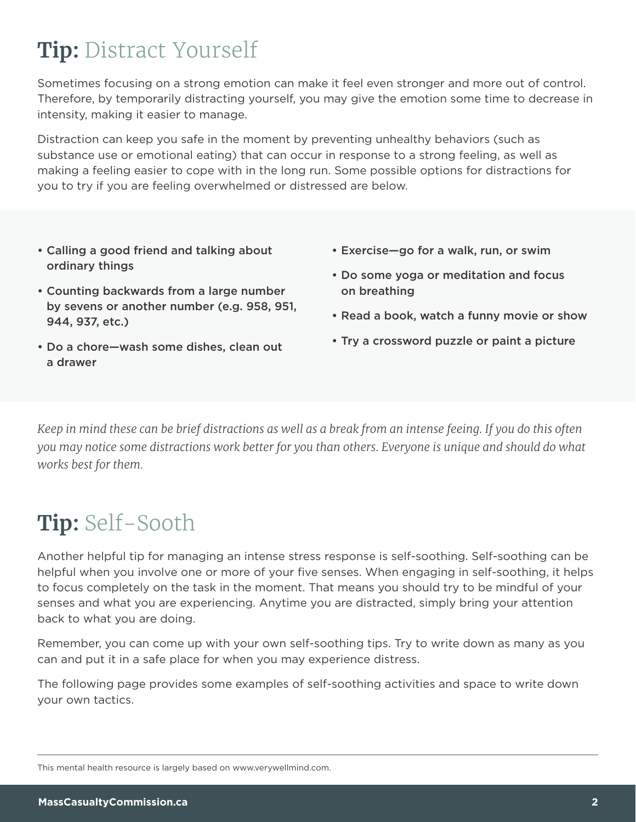## **Tip:** Distract Yourself

Sometimes focusing on a strong emotion can make it feel even stronger and more out of control. Therefore, by temporarily distracting yourself, you may give the emotion some time to decrease in intensity, making it easier to manage.

Distraction can keep you safe in the moment by preventing unhealthy behaviors (such as substance use or emotional eating) that can occur in response to a strong feeling, as well as making a feeling easier to cope with in the long run. Some possible options for distractions for you to try if you are feeling overwhelmed or distressed are below.

- Calling a good friend and talking about ordinary things
- Counting backwards from a large number by sevens or another number (e.g. 958, 951, 944, 937, etc.)
- Do a chore—wash some dishes, clean out a drawer
- Exercise—go for a walk, run, or swim
- Do some yoga or meditation and focus on breathing
- Read a book, watch a funny movie or show
- Try a crossword puzzle or paint a picture

*Keep in mind these can be brief distractions as well as a break from an intense feeing. If you do this often you may notice some distractions work better for you than others. Everyone is unique and should do what works best for them.*

# **Tip:** Self-Sooth

Another helpful tip for managing an intense stress response is self-soothing. Self-soothing can be helpful when you involve one or more of your five senses. When engaging in self-soothing, it helps to focus completely on the task in the moment. That means you should try to be mindful of your senses and what you are experiencing. Anytime you are distracted, simply bring your attention back to what you are doing.

Remember, you can come up with your own self-soothing tips. Try to write down as many as you can and put it in a safe place for when you may experience distress.

The following page provides some examples of self-soothing activities and space to write down your own tactics.

This mental health resource is largely based on www.verywellmind.com.